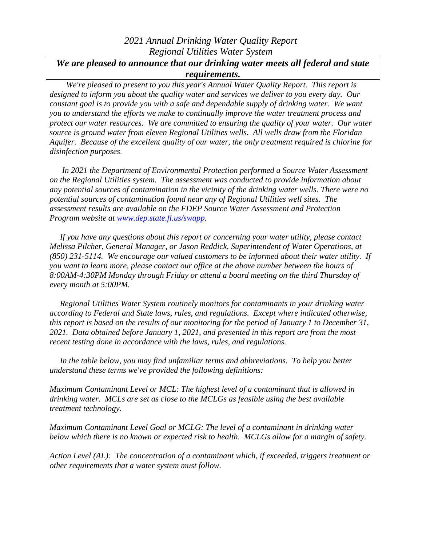## *2021 Annual Drinking Water Quality Report Regional Utilities Water System*

## *We are pleased to announce that our drinking water meets all federal and state requirements.*

 *We're pleased to present to you this year's Annual Water Quality Report. This report is designed to inform you about the quality water and services we deliver to you every day. Our constant goal is to provide you with a safe and dependable supply of drinking water. We want you to understand the efforts we make to continually improve the water treatment process and protect our water resources. We are committed to ensuring the quality of your water. Our water source is ground water from eleven Regional Utilities wells. All wells draw from the Floridan Aquifer. Because of the excellent quality of our water, the only treatment required is chlorine for disinfection purposes*.

 *In 2021 the Department of Environmental Protection performed a Source Water Assessment on the Regional Utilities system. The assessment was conducted to provide information about any potential sources of contamination in the vicinity of the drinking water wells. There were no potential sources of contamination found near any of Regional Utilities well sites. The assessment results are available on the FDEP Source Water Assessment and Protection Program website at [www.dep.state.fl.us/swapp.](http://www.dep.state.fl.us/swapp)*

 *If you have any questions about this report or concerning your water utility, please contact Melissa Pilcher, General Manager, or Jason Reddick, Superintendent of Water Operations, at (850) 231-5114. We encourage our valued customers to be informed about their water utility. If you want to learn more, please contact our office at the above number between the hours of 8:00AM-4:30PM Monday through Friday or attend a board meeting on the third Thursday of every month at 5:00PM.*

*Regional Utilities Water System routinely monitors for contaminants in your drinking water according to Federal and State laws, rules, and regulations. Except where indicated otherwise, this report is based on the results of our monitoring for the period of January 1 to December 31, 2021. Data obtained before January 1, 2021, and presented in this report are from the most recent testing done in accordance with the laws, rules, and regulations.* 

 *In the table below, you may find unfamiliar terms and abbreviations. To help you better understand these terms we've provided the following definitions:*

*Maximum Contaminant Level or MCL: The highest level of a contaminant that is allowed in drinking water. MCLs are set as close to the MCLGs as feasible using the best available treatment technology.*

*Maximum Contaminant Level Goal or MCLG: The level of a contaminant in drinking water below which there is no known or expected risk to health. MCLGs allow for a margin of safety.*

*Action Level (AL): The concentration of a contaminant which, if exceeded, triggers treatment or other requirements that a water system must follow.*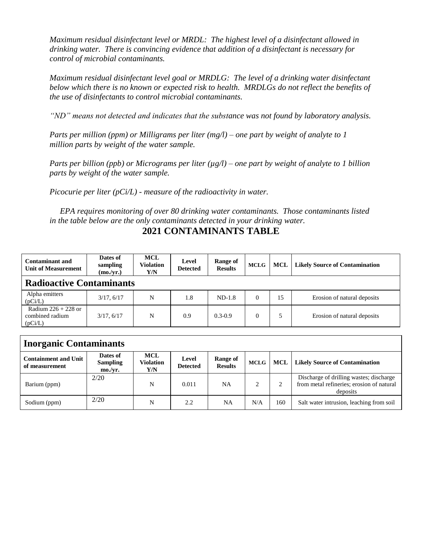*Maximum residual disinfectant level or MRDL: The highest level of a disinfectant allowed in drinking water. There is convincing evidence that addition of a disinfectant is necessary for control of microbial contaminants.*

*Maximum residual disinfectant level goal or MRDLG: The level of a drinking water disinfectant below which there is no known or expected risk to health. MRDLGs do not reflect the benefits of the use of disinfectants to control microbial contaminants.*

*"ND" means not detected and indicates that the substance was not found by laboratory analysis.*

*Parts per million (ppm) or Milligrams per liter (mg/l) – one part by weight of analyte to 1 million parts by weight of the water sample.*

*Parts per billion (ppb) or Micrograms per liter (µg/l) – one part by weight of analyte to 1 billion parts by weight of the water sample.*

*Picocurie per liter (pCi/L) - measure of the radioactivity in water.*

 *EPA requires monitoring of over 80 drinking water contaminants. Those contaminants listed in the table below are the only contaminants detected in your drinking water.*

## **2021 CONTAMINANTS TABLE**

| <b>Contaminant and</b><br><b>Unit of Measurement</b> | Dates of<br>sampling<br>(mo./yr.) | <b>MCL</b><br>Violation<br>Y/N | Level<br><b>Detected</b> | Range of<br><b>Results</b> | <b>MCLG</b> | <b>MCL</b> | <b>Likely Source of Contamination</b> |  |  |  |
|------------------------------------------------------|-----------------------------------|--------------------------------|--------------------------|----------------------------|-------------|------------|---------------------------------------|--|--|--|
| <b>Radioactive Contaminants</b>                      |                                   |                                |                          |                            |             |            |                                       |  |  |  |
| Alpha emitters<br>(pCi/L)                            | 3/17.6/17                         | N                              | 1.8                      | $ND-1.8$                   | $\Omega$    | 15         | Erosion of natural deposits           |  |  |  |
| Radium $226 + 228$ or<br>combined radium<br>(pCi/L)  | 3/17, 6/17                        | N                              | 0.9                      | $0.3 - 0.9$                | $\theta$    |            | Erosion of natural deposits           |  |  |  |

| <b>Inorganic Contaminants</b>                 |                                                 |                                       |                          |                            |             |     |                                                                                                  |  |  |
|-----------------------------------------------|-------------------------------------------------|---------------------------------------|--------------------------|----------------------------|-------------|-----|--------------------------------------------------------------------------------------------------|--|--|
| <b>Containment and Unit</b><br>of measurement | Dates of<br><b>Sampling</b><br>$\text{mo./vr.}$ | <b>MCL</b><br><b>Violation</b><br>Y/N | Level<br><b>Detected</b> | Range of<br><b>Results</b> | <b>MCLG</b> | MCL | <b>Likely Source of Contamination</b>                                                            |  |  |
| Barium (ppm)                                  | 2/20                                            | N                                     | 0.011                    | NA                         |             |     | Discharge of drilling wastes; discharge<br>from metal refineries; erosion of natural<br>deposits |  |  |
| Sodium (ppm)                                  | 2/20                                            | N                                     | 2.2                      | NA                         | N/A         | 160 | Salt water intrusion, leaching from soil                                                         |  |  |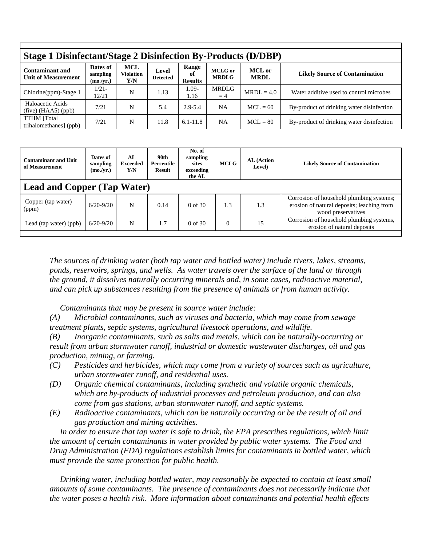| <b>Stage 1 Disinfectant/Stage 2 Disinfection By-Products (D/DBP)</b> |                                   |                                |                          |                               |                                |                              |                                           |  |  |  |
|----------------------------------------------------------------------|-----------------------------------|--------------------------------|--------------------------|-------------------------------|--------------------------------|------------------------------|-------------------------------------------|--|--|--|
| <b>Contaminant and</b><br><b>Unit of Measurement</b>                 | Dates of<br>sampling<br>(mo./yr.) | MCL<br><b>Violation</b><br>Y/N | Level<br><b>Detected</b> | Range<br>оf<br><b>Results</b> | <b>MCLG</b> or<br><b>MRDLG</b> | <b>MCL</b> or<br><b>MRDL</b> | <b>Likely Source of Contamination</b>     |  |  |  |
| Chlorine(ppm)-Stage 1                                                | $1/21-$<br>12/21                  | N                              | 1.13                     | $.09-$<br>1.16                | MRDLG<br>$=4$                  | $MRDL = 4.0$                 | Water additive used to control microbes   |  |  |  |
| Haloacetic Acids<br>$(five)$ (HAA5) (ppb)                            | 7/21                              | N                              | 5.4                      | $2.9 - 5.4$                   | <b>NA</b>                      | $MCL = 60$                   | By-product of drinking water disinfection |  |  |  |
| <b>TTHM</b> [Total<br>trihalomethanes] (ppb)                         | 7/21                              | N                              | 11.8                     | $6.1 - 11.8$                  | <b>NA</b>                      | $MCL = 80$                   | By-product of drinking water disinfection |  |  |  |

| <b>Contaminant and Unit</b><br>of Measurement | Dates of<br>sampling<br>(mo./yr.) | AL<br><b>Exceeded</b><br>Y/N | 90th<br>Percentile<br><b>Result</b> | No. of<br>sampling<br>sites<br>exceeding<br>the AL | <b>MCLG</b> | AL (Action<br>Level) | <b>Likely Source of Contamination</b>                                                                        |  |  |
|-----------------------------------------------|-----------------------------------|------------------------------|-------------------------------------|----------------------------------------------------|-------------|----------------------|--------------------------------------------------------------------------------------------------------------|--|--|
| <b>Lead and Copper (Tap Water)</b>            |                                   |                              |                                     |                                                    |             |                      |                                                                                                              |  |  |
| Copper (tap water)<br>(ppm)                   | $6/20 - 9/20$                     | N                            | 0.14                                | $0$ of 30                                          | 1.3         | 1.3                  | Corrosion of household plumbing systems;<br>erosion of natural deposits; leaching from<br>wood preservatives |  |  |
| Lead (tap water) (ppb)                        | $6/20 - 9/20$                     | N                            | 1.7                                 | $0$ of 30                                          | $\Omega$    | 15                   | Corrosion of household plumbing systems,<br>erosion of natural deposits                                      |  |  |

*The sources of drinking water (both tap water and bottled water) include rivers, lakes, streams, ponds, reservoirs, springs, and wells. As water travels over the surface of the land or through the ground, it dissolves naturally occurring minerals and, in some cases, radioactive material, and can pick up substances resulting from the presence of animals or from human activity.*

 *Contaminants that may be present in source water include:*

*(A) Microbial contaminants, such as viruses and bacteria, which may come from sewage treatment plants, septic systems, agricultural livestock operations, and wildlife.*

*(B) Inorganic contaminants*, *such as salts and metals, which can be naturally-occurring or result from urban stormwater runoff, industrial or domestic wastewater discharges, oil and gas production, mining, or farming.*

- *(C) Pesticides and herbicides, which may come from a variety of sources such as agriculture, urban stormwater runoff, and residential uses.*
- *(D) Organic chemical contaminants*, *including synthetic and volatile organic chemicals, which are by-products of industrial processes and petroleum production, and can also come from gas stations, urban stormwater runoff, and septic systems.*
- *(E) Radioactive contaminants*, *which can be naturally occurring or be the result of oil and gas production and mining activities.*

 *In order to ensure that tap water is safe to drink, the EPA prescribes regulations, which limit the amount of certain contaminants in water provided by public water systems. The Food and Drug Administration (FDA) regulations establish limits for contaminants in bottled water, which must provide the same protection for public health.*

 *Drinking water, including bottled water, may reasonably be expected to contain at least small amounts of some contaminants. The presence of contaminants does not necessarily indicate that the water poses a health risk. More information about contaminants and potential health effects*